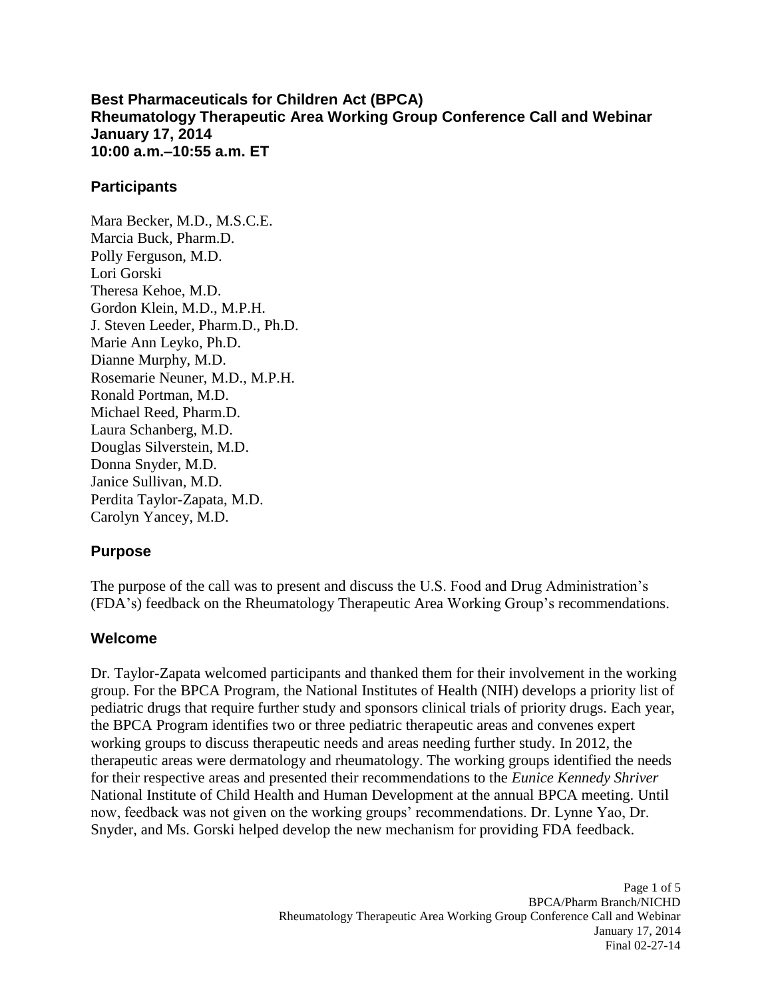**10:00 a.m.–10:55 a.m. ET Best Pharmaceuticals for Children Act (BPCA) Rheumatology Therapeutic Area Working Group Conference Call and Webinar January 17, 2014** 

#### **Participants**

Mara Becker, M.D., M.S.C.E. Marcia Buck, Pharm.D. Polly Ferguson, M.D. Lori Gorski Theresa Kehoe, M.D. Gordon Klein, M.D., M.P.H. J. Steven Leeder, Pharm.D., Ph.D. Marie Ann Leyko, Ph.D. Dianne Murphy, M.D. Rosemarie Neuner, M.D., M.P.H. Ronald Portman, M.D. Michael Reed, Pharm.D. Laura Schanberg, M.D. Douglas Silverstein, M.D. Donna Snyder, M.D. Janice Sullivan, M.D. Perdita Taylor-Zapata, M.D. Carolyn Yancey, M.D.

## **Purpose**

The purpose of the call was to present and discuss the U.S. Food and Drug Administration's (FDA's) feedback on the Rheumatology Therapeutic Area Working Group's recommendations.

#### **Welcome**

 group. For the BPCA Program, the National Institutes of Health (NIH) develops a priority list of pediatric drugs that require further study and sponsors clinical trials of priority drugs. Each year, working groups to discuss therapeutic needs and areas needing further study. In 2012, the therapeutic areas were dermatology and rheumatology. The working groups identified the needs Dr. Taylor-Zapata welcomed participants and thanked them for their involvement in the working the BPCA Program identifies two or three pediatric therapeutic areas and convenes expert for their respective areas and presented their recommendations to the *Eunice Kennedy Shriver*  National Institute of Child Health and Human Development at the annual BPCA meeting. Until now, feedback was not given on the working groups' recommendations. Dr. Lynne Yao, Dr. Snyder, and Ms. Gorski helped develop the new mechanism for providing FDA feedback.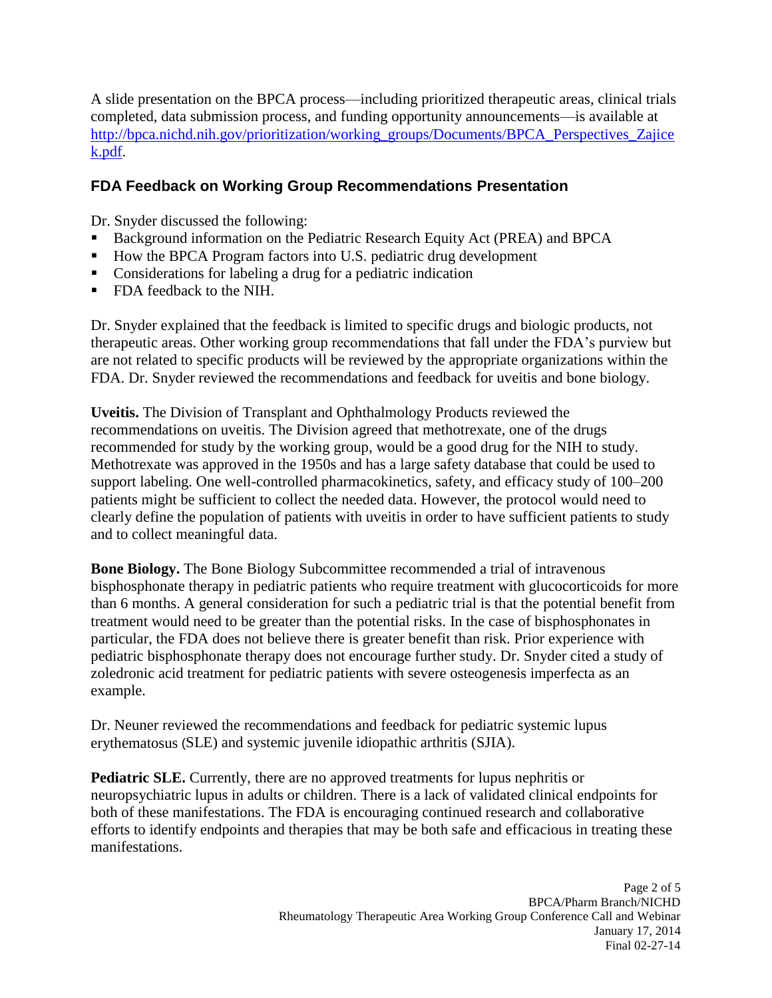completed, data submission process, and funding opportunity announcements––is available at A slide presentation on the BPCA process––including prioritized therapeutic areas, clinical trials http://bpca.nichd.nih.gov/prioritization/working\_groups/Documents/BPCA\_Perspectives\_Zajice [k.pdf.](http://bpca.nichd.nih.gov/prioritization/working_groups/Documents/BPCA_Perspectives_Zajicek.pdf)

# **FDA Feedback on Working Group Recommendations Presentation**

Dr. Snyder discussed the following:

- **Background information on the Pediatric Research Equity Act (PREA) and BPCA**
- How the BPCA Program factors into U.S. pediatric drug development
- **Considerations for labeling a drug for a pediatric indication**
- FDA feedback to the NIH.

 therapeutic areas. Other working group recommendations that fall under the FDA's purview but Dr. Snyder explained that the feedback is limited to specific drugs and biologic products, not are not related to specific products will be reviewed by the appropriate organizations within the FDA. Dr. Snyder reviewed the recommendations and feedback for uveitis and bone biology.

 recommended for study by the working group, would be a good drug for the NIH to study. support labeling. One well-controlled pharmacokinetics, safety, and efficacy study of 100–200 **Uveitis.** The Division of Transplant and Ophthalmology Products reviewed the recommendations on uveitis. The Division agreed that methotrexate, one of the drugs Methotrexate was approved in the 1950s and has a large safety database that could be used to patients might be sufficient to collect the needed data. However, the protocol would need to clearly define the population of patients with uveitis in order to have sufficient patients to study and to collect meaningful data.

 bisphosphonate therapy in pediatric patients who require treatment with glucocorticoids for more than 6 months. A general consideration for such a pediatric trial is that the potential benefit from particular, the FDA does not believe there is greater benefit than risk. Prior experience with pediatric bisphosphonate therapy does not encourage further study. Dr. Snyder cited a study of **Bone Biology.** The Bone Biology Subcommittee recommended a trial of intravenous treatment would need to be greater than the potential risks. In the case of bisphosphonates in zoledronic acid treatment for pediatric patients with severe osteogenesis imperfecta as an example.

Dr. Neuner reviewed the recommendations and feedback for pediatric systemic lupus erythematosus (SLE) and systemic juvenile idiopathic arthritis (SJIA).

 efforts to identify endpoints and therapies that may be both safe and efficacious in treating these **Pediatric SLE.** Currently, there are no approved treatments for lupus nephritis or neuropsychiatric lupus in adults or children. There is a lack of validated clinical endpoints for both of these manifestations. The FDA is encouraging continued research and collaborative manifestations.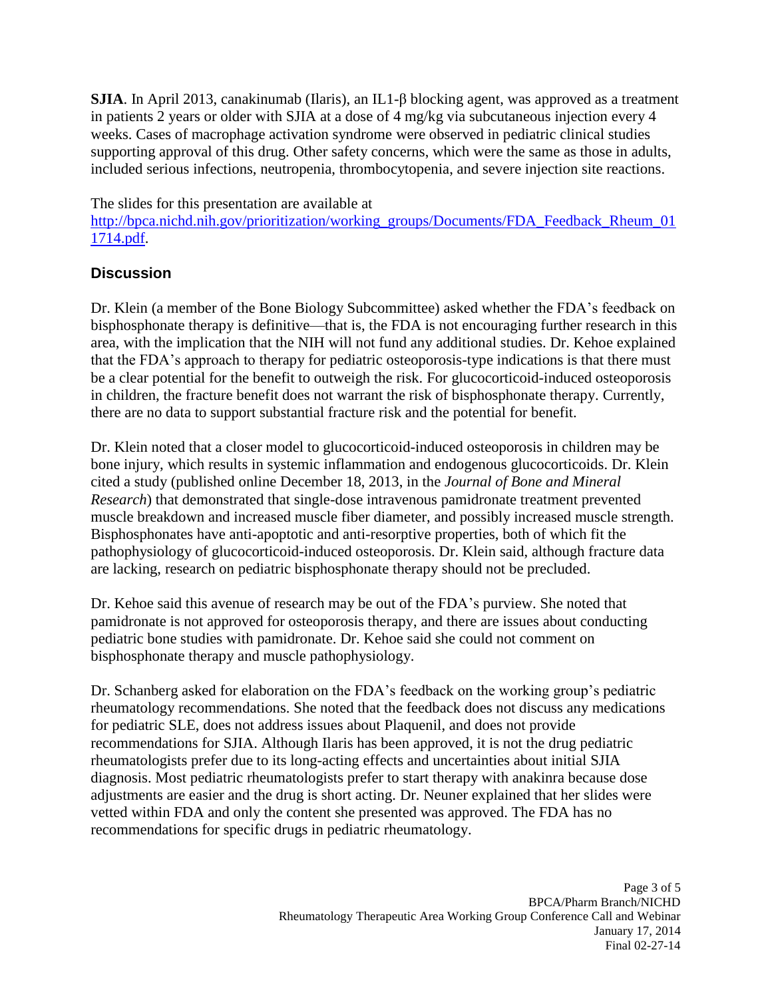**SJIA**. In April 2013, canakinumab (Ilaris), an IL1-β blocking agent, was approved as a treatment in patients 2 years or older with SJIA at a dose of 4 mg/kg via subcutaneous injection every 4 weeks. Cases of macrophage activation syndrome were observed in pediatric clinical studies supporting approval of this drug. Other safety concerns, which were the same as those in adults, included serious infections, neutropenia, thrombocytopenia, and severe injection site reactions.

The slides for this presentation are available at

http://bpca.nichd.nih.gov/prioritization/working\_groups/Documents/FDA\_Feedback\_Rheum\_01 [1714.pdf.](http://bpca.nichd.nih.gov/prioritization/working_groups/Documents/FDA_Feedback_Rheum_011714.pdf)

# **Discussion**

 bisphosphonate therapy is definitive—that is, the FDA is not encouraging further research in this area, with the implication that the NIH will not fund any additional studies. Dr. Kehoe explained that the FDA's approach to therapy for pediatric osteoporosis-type indications is that there must be a clear potential for the benefit to outweigh the risk. For glucocorticoid-induced osteoporosis Dr. Klein (a member of the Bone Biology Subcommittee) asked whether the FDA's feedback on in children, the fracture benefit does not warrant the risk of bisphosphonate therapy. Currently, there are no data to support substantial fracture risk and the potential for benefit.

 Dr. Klein noted that a closer model to glucocorticoid-induced osteoporosis in children may be cited a study (published online December 18, 2013, in the *Journal of Bone and Mineral*  bone injury, which results in systemic inflammation and endogenous glucocorticoids. Dr. Klein *Research*) that demonstrated that single-dose intravenous pamidronate treatment prevented muscle breakdown and increased muscle fiber diameter, and possibly increased muscle strength. Bisphosphonates have anti-apoptotic and anti-resorptive properties, both of which fit the pathophysiology of glucocorticoid-induced osteoporosis. Dr. Klein said, although fracture data are lacking, research on pediatric bisphosphonate therapy should not be precluded.

 pamidronate is not approved for osteoporosis therapy, and there are issues about conducting Dr. Kehoe said this avenue of research may be out of the FDA's purview. She noted that pediatric bone studies with pamidronate. Dr. Kehoe said she could not comment on bisphosphonate therapy and muscle pathophysiology.

 recommendations for SJIA. Although Ilaris has been approved, it is not the drug pediatric rheumatologists prefer due to its long-acting effects and uncertainties about initial SJIA adjustments are easier and the drug is short acting. Dr. Neuner explained that her slides were vetted within FDA and only the content she presented was approved. The FDA has no Dr. Schanberg asked for elaboration on the FDA's feedback on the working group's pediatric rheumatology recommendations. She noted that the feedback does not discuss any medications for pediatric SLE, does not address issues about Plaquenil, and does not provide diagnosis. Most pediatric rheumatologists prefer to start therapy with anakinra because dose recommendations for specific drugs in pediatric rheumatology.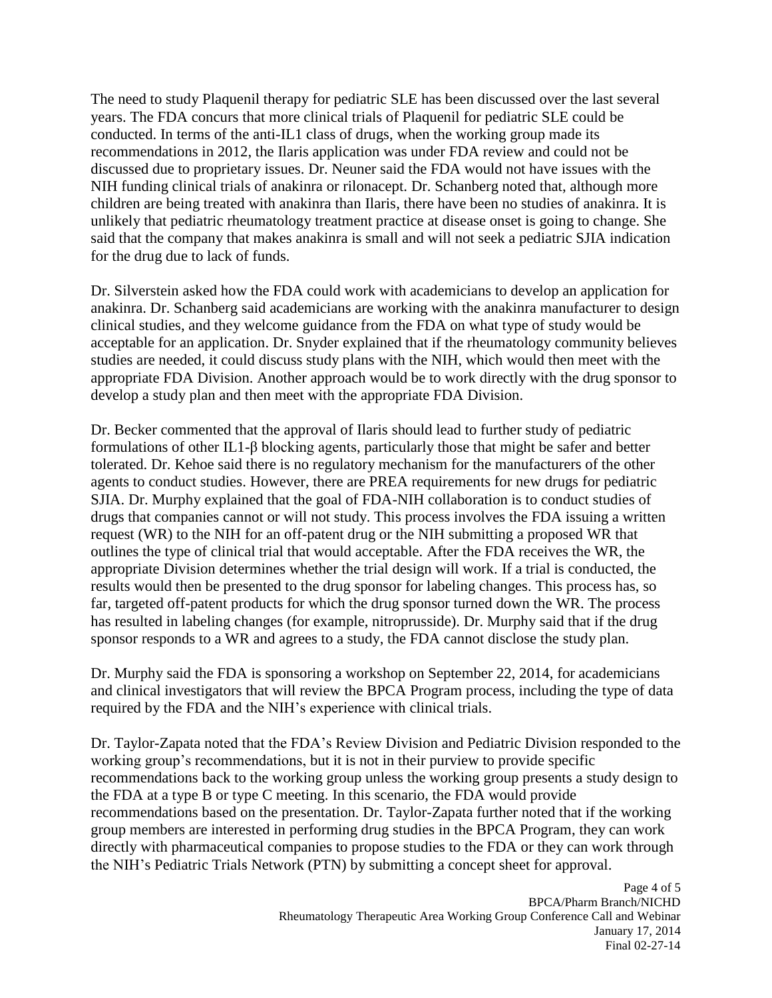The need to study Plaquenil therapy for pediatric SLE has been discussed over the last several conducted. In terms of the anti-IL1 class of drugs, when the working group made its recommendations in 2012, the Ilaris application was under FDA review and could not be NIH funding clinical trials of anakinra or rilonacept. Dr. Schanberg noted that, although more children are being treated with anakinra than Ilaris, there have been no studies of anakinra. It is unlikely that pediatric rheumatology treatment practice at disease onset is going to change. She said that the company that makes anakinra is small and will not seek a pediatric SJIA indication years. The FDA concurs that more clinical trials of Plaquenil for pediatric SLE could be discussed due to proprietary issues. Dr. Neuner said the FDA would not have issues with the for the drug due to lack of funds.

 clinical studies, and they welcome guidance from the FDA on what type of study would be appropriate FDA Division. Another approach would be to work directly with the drug sponsor to Dr. Silverstein asked how the FDA could work with academicians to develop an application for anakinra. Dr. Schanberg said academicians are working with the anakinra manufacturer to design acceptable for an application. Dr. Snyder explained that if the rheumatology community believes studies are needed, it could discuss study plans with the NIH, which would then meet with the develop a study plan and then meet with the appropriate FDA Division.

 agents to conduct studies. However, there are PREA requirements for new drugs for pediatric sponsor responds to a WR and agrees to a study, the FDA cannot disclose the study plan. Dr. Becker commented that the approval of Ilaris should lead to further study of pediatric formulations of other IL1-β blocking agents, particularly those that might be safer and better tolerated. Dr. Kehoe said there is no regulatory mechanism for the manufacturers of the other SJIA. Dr. Murphy explained that the goal of FDA-NIH collaboration is to conduct studies of drugs that companies cannot or will not study. This process involves the FDA issuing a written request (WR) to the NIH for an off-patent drug or the NIH submitting a proposed WR that outlines the type of clinical trial that would acceptable. After the FDA receives the WR, the appropriate Division determines whether the trial design will work. If a trial is conducted, the results would then be presented to the drug sponsor for labeling changes. This process has, so far, targeted off-patent products for which the drug sponsor turned down the WR. The process has resulted in labeling changes (for example, nitroprusside). Dr. Murphy said that if the drug

 Dr. Murphy said the FDA is sponsoring a workshop on September 22, 2014, for academicians required by the FDA and the NIH's experience with clinical trials. and clinical investigators that will review the BPCA Program process, including the type of data

 working group's recommendations, but it is not in their purview to provide specific the FDA at a type B or type C meeting. In this scenario, the FDA would provide group members are interested in performing drug studies in the BPCA Program, they can work directly with pharmaceutical companies to propose studies to the FDA or they can work through the NIH's Pediatric Trials Network (PTN) by submitting a concept sheet for approval. Dr. Taylor-Zapata noted that the FDA's Review Division and Pediatric Division responded to the recommendations back to the working group unless the working group presents a study design to recommendations based on the presentation. Dr. Taylor-Zapata further noted that if the working